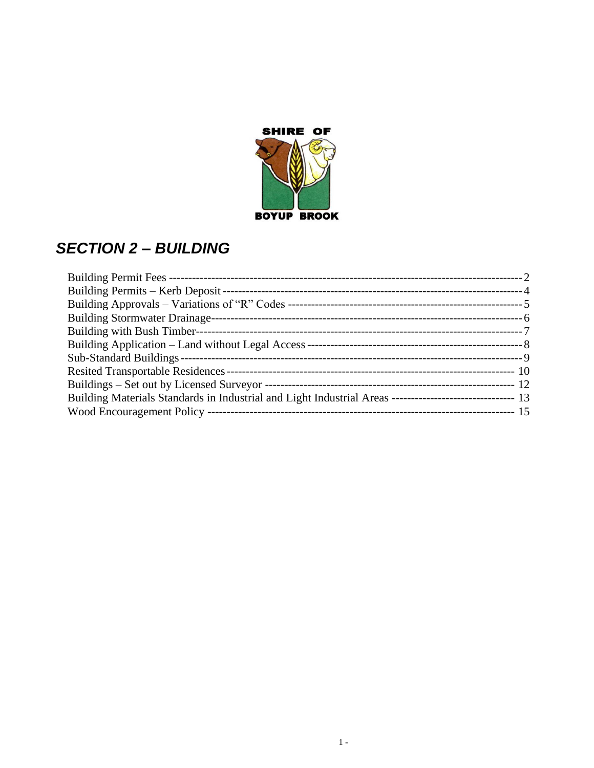

# *SECTION 2 – BUILDING*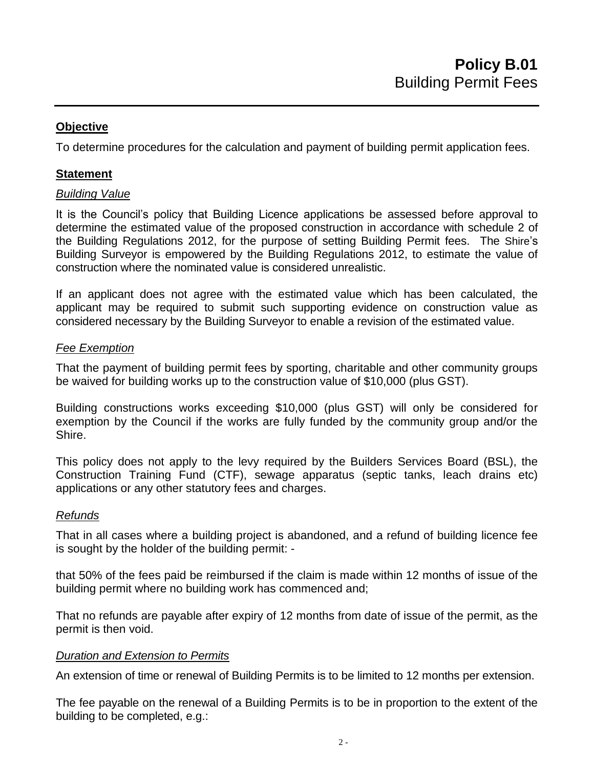To determine procedures for the calculation and payment of building permit application fees.

## **Statement**

## *Building Value*

It is the Council's policy that Building Licence applications be assessed before approval to determine the estimated value of the proposed construction in accordance with schedule 2 of the Building Regulations 2012, for the purpose of setting Building Permit fees. The Shire's Building Surveyor is empowered by the Building Regulations 2012, to estimate the value of construction where the nominated value is considered unrealistic.

If an applicant does not agree with the estimated value which has been calculated, the applicant may be required to submit such supporting evidence on construction value as considered necessary by the Building Surveyor to enable a revision of the estimated value.

## *Fee Exemption*

That the payment of building permit fees by sporting, charitable and other community groups be waived for building works up to the construction value of \$10,000 (plus GST).

Building constructions works exceeding \$10,000 (plus GST) will only be considered for exemption by the Council if the works are fully funded by the community group and/or the Shire.

This policy does not apply to the levy required by the Builders Services Board (BSL), the Construction Training Fund (CTF), sewage apparatus (septic tanks, leach drains etc) applications or any other statutory fees and charges.

## *Refunds*

That in all cases where a building project is abandoned, and a refund of building licence fee is sought by the holder of the building permit: -

that 50% of the fees paid be reimbursed if the claim is made within 12 months of issue of the building permit where no building work has commenced and;

That no refunds are payable after expiry of 12 months from date of issue of the permit, as the permit is then void.

## *Duration and Extension to Permits*

An extension of time or renewal of Building Permits is to be limited to 12 months per extension.

The fee payable on the renewal of a Building Permits is to be in proportion to the extent of the building to be completed, e.g.: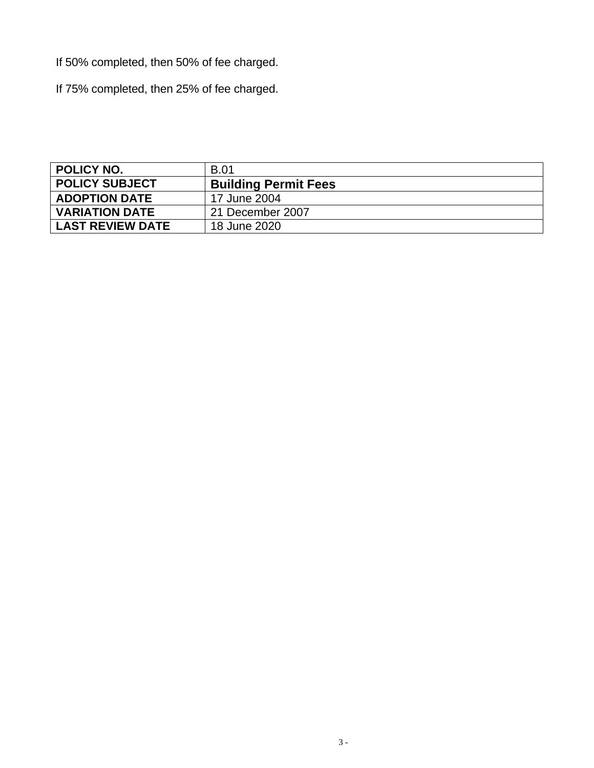If 50% completed, then 50% of fee charged.

If 75% completed, then 25% of fee charged.

<span id="page-2-0"></span>

| <b>POLICY NO.</b>     | <b>B.01</b>                 |
|-----------------------|-----------------------------|
| <b>POLICY SUBJECT</b> | <b>Building Permit Fees</b> |
| <b>ADOPTION DATE</b>  | 17 June 2004                |
| <b>VARIATION DATE</b> | 21 December 2007            |
| LAST REVIEW DATE      | 18 June 2020                |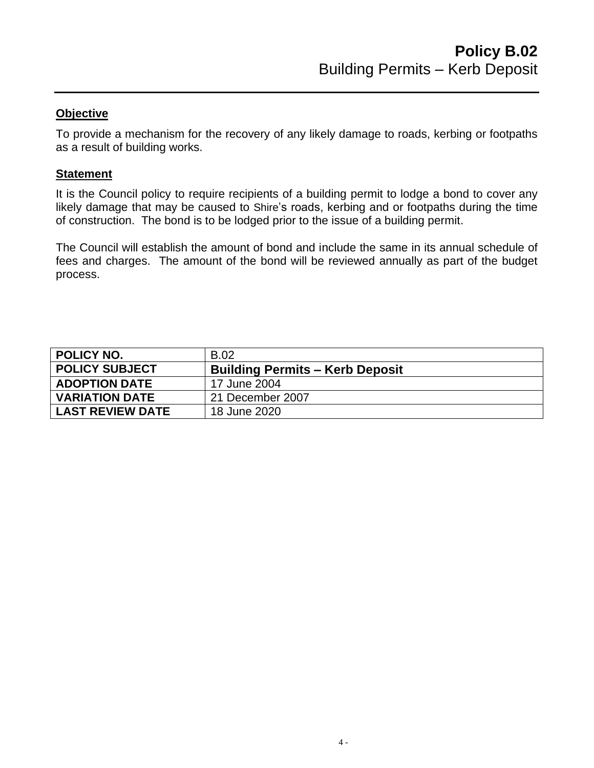To provide a mechanism for the recovery of any likely damage to roads, kerbing or footpaths as a result of building works.

### **Statement**

It is the Council policy to require recipients of a building permit to lodge a bond to cover any likely damage that may be caused to Shire's roads, kerbing and or footpaths during the time of construction. The bond is to be lodged prior to the issue of a building permit.

The Council will establish the amount of bond and include the same in its annual schedule of fees and charges. The amount of the bond will be reviewed annually as part of the budget process.

<span id="page-3-0"></span>

| <b>B.02</b>                            |
|----------------------------------------|
| <b>Building Permits - Kerb Deposit</b> |
| 17 June 2004                           |
| 21 December 2007                       |
| 18 June 2020                           |
|                                        |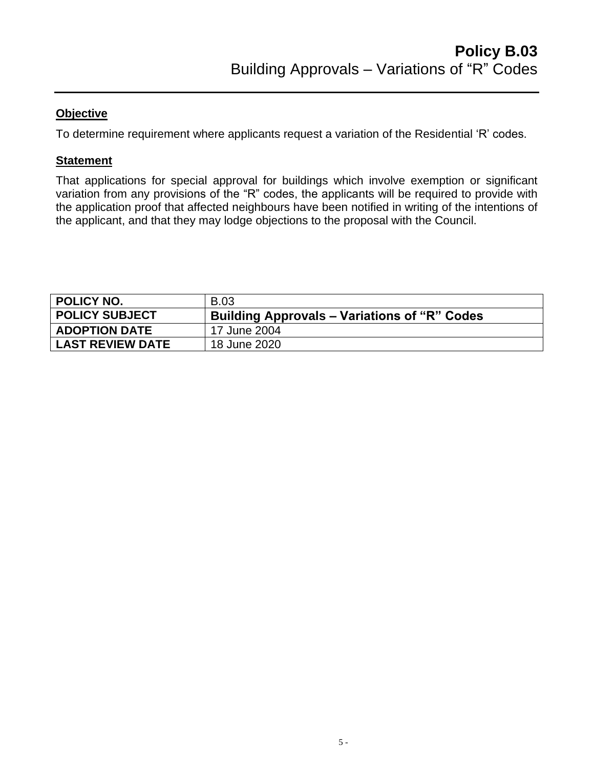To determine requirement where applicants request a variation of the Residential 'R' codes.

### **Statement**

That applications for special approval for buildings which involve exemption or significant variation from any provisions of the "R" codes, the applicants will be required to provide with the application proof that affected neighbours have been notified in writing of the intentions of the applicant, and that they may lodge objections to the proposal with the Council.

<span id="page-4-0"></span>

| <b>POLICY NO.</b>       | <b>B.03</b>                                         |
|-------------------------|-----------------------------------------------------|
| <b>POLICY SUBJECT</b>   | <b>Building Approvals – Variations of "R" Codes</b> |
| <b>ADOPTION DATE</b>    | 17 June 2004                                        |
| <b>LAST REVIEW DATE</b> | 18 June 2020                                        |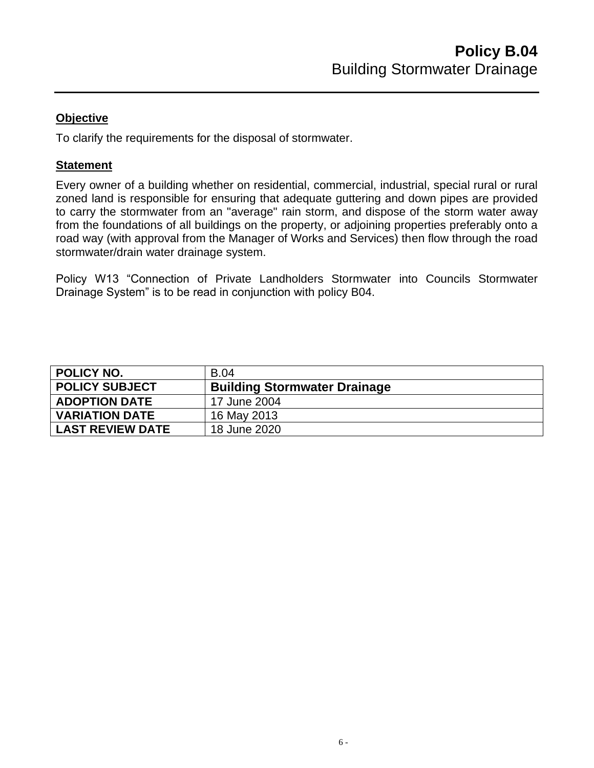To clarify the requirements for the disposal of stormwater.

## **Statement**

Every owner of a building whether on residential, commercial, industrial, special rural or rural zoned land is responsible for ensuring that adequate guttering and down pipes are provided to carry the stormwater from an "average" rain storm, and dispose of the storm water away from the foundations of all buildings on the property, or adjoining properties preferably onto a road way (with approval from the Manager of Works and Services) then flow through the road stormwater/drain water drainage system.

Policy W13 "Connection of Private Landholders Stormwater into Councils Stormwater Drainage System" is to be read in conjunction with policy B04.

<span id="page-5-0"></span>

| <b>POLICY NO.</b>       | <b>B.04</b>                         |
|-------------------------|-------------------------------------|
| <b>POLICY SUBJECT</b>   | <b>Building Stormwater Drainage</b> |
| <b>ADOPTION DATE</b>    | 17 June 2004                        |
| <b>VARIATION DATE</b>   | 16 May 2013                         |
| <b>LAST REVIEW DATE</b> | 18 June 2020                        |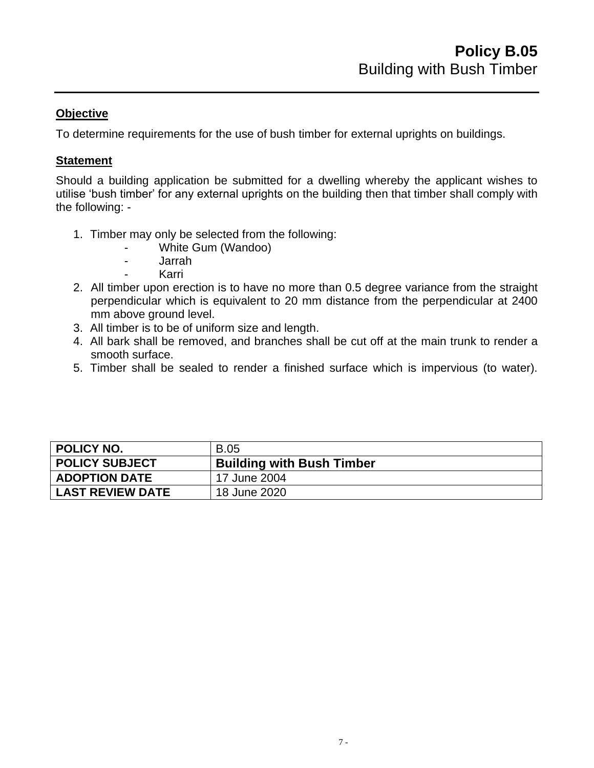To determine requirements for the use of bush timber for external uprights on buildings.

## **Statement**

Should a building application be submitted for a dwelling whereby the applicant wishes to utilise 'bush timber' for any external uprights on the building then that timber shall comply with the following: -

- 1. Timber may only be selected from the following:
	- White Gum (Wandoo)
	- Jarrah
		- **Karri**
- 2. All timber upon erection is to have no more than 0.5 degree variance from the straight perpendicular which is equivalent to 20 mm distance from the perpendicular at 2400 mm above ground level.
- 3. All timber is to be of uniform size and length.
- 4. All bark shall be removed, and branches shall be cut off at the main trunk to render a smooth surface.
- 5. Timber shall be sealed to render a finished surface which is impervious (to water).

<span id="page-6-0"></span>

| <b>POLICY NO.</b>       | <b>B.05</b>                      |
|-------------------------|----------------------------------|
| <b>POLICY SUBJECT</b>   | <b>Building with Bush Timber</b> |
| <b>ADOPTION DATE</b>    | 17 June 2004                     |
| <b>LAST REVIEW DATE</b> | 18 June 2020                     |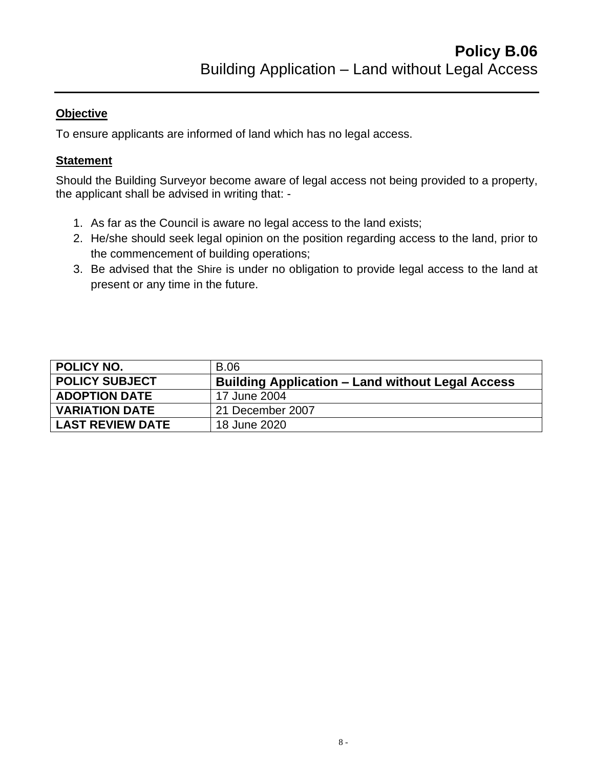To ensure applicants are informed of land which has no legal access.

# **Statement**

Should the Building Surveyor become aware of legal access not being provided to a property, the applicant shall be advised in writing that: -

- 1. As far as the Council is aware no legal access to the land exists;
- 2. He/she should seek legal opinion on the position regarding access to the land, prior to the commencement of building operations;
- 3. Be advised that the Shire is under no obligation to provide legal access to the land at present or any time in the future.

<span id="page-7-0"></span>

| <b>POLICY NO.</b>       | <b>B.06</b>                                             |
|-------------------------|---------------------------------------------------------|
| <b>POLICY SUBJECT</b>   | <b>Building Application – Land without Legal Access</b> |
| <b>ADOPTION DATE</b>    | 17 June 2004                                            |
| <b>VARIATION DATE</b>   | 21 December 2007                                        |
| <b>LAST REVIEW DATE</b> | 18 June 2020                                            |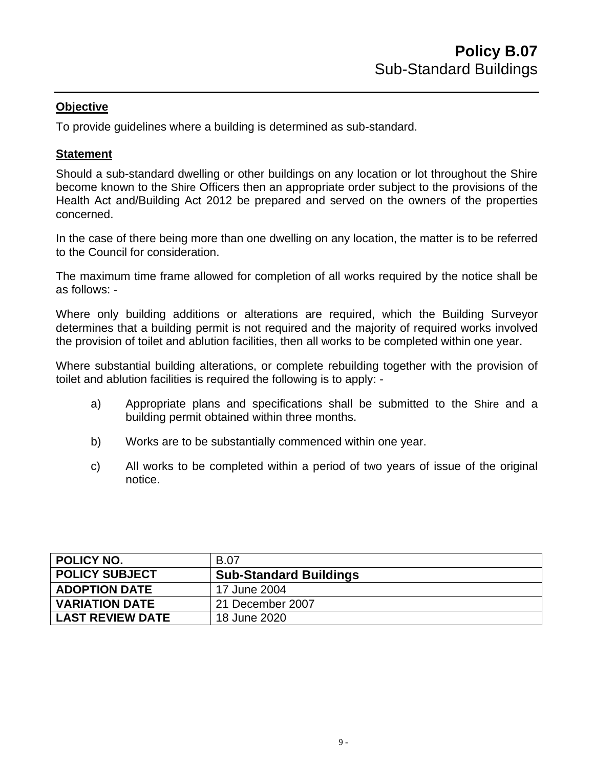To provide guidelines where a building is determined as sub-standard.

### **Statement**

Should a sub-standard dwelling or other buildings on any location or lot throughout the Shire become known to the Shire Officers then an appropriate order subject to the provisions of the Health Act and/Building Act 2012 be prepared and served on the owners of the properties concerned.

In the case of there being more than one dwelling on any location, the matter is to be referred to the Council for consideration.

The maximum time frame allowed for completion of all works required by the notice shall be as follows: -

Where only building additions or alterations are required, which the Building Surveyor determines that a building permit is not required and the majority of required works involved the provision of toilet and ablution facilities, then all works to be completed within one year.

Where substantial building alterations, or complete rebuilding together with the provision of toilet and ablution facilities is required the following is to apply: -

- a) Appropriate plans and specifications shall be submitted to the Shire and a building permit obtained within three months.
- b) Works are to be substantially commenced within one year.
- c) All works to be completed within a period of two years of issue of the original notice.

<span id="page-8-0"></span>

| I POLICY NO.            | <b>B.07</b>                   |
|-------------------------|-------------------------------|
| <b>POLICY SUBJECT</b>   | <b>Sub-Standard Buildings</b> |
| <b>ADOPTION DATE</b>    | 17 June 2004                  |
| <b>VARIATION DATE</b>   | 21 December 2007              |
| <b>LAST REVIEW DATE</b> | 18 June 2020                  |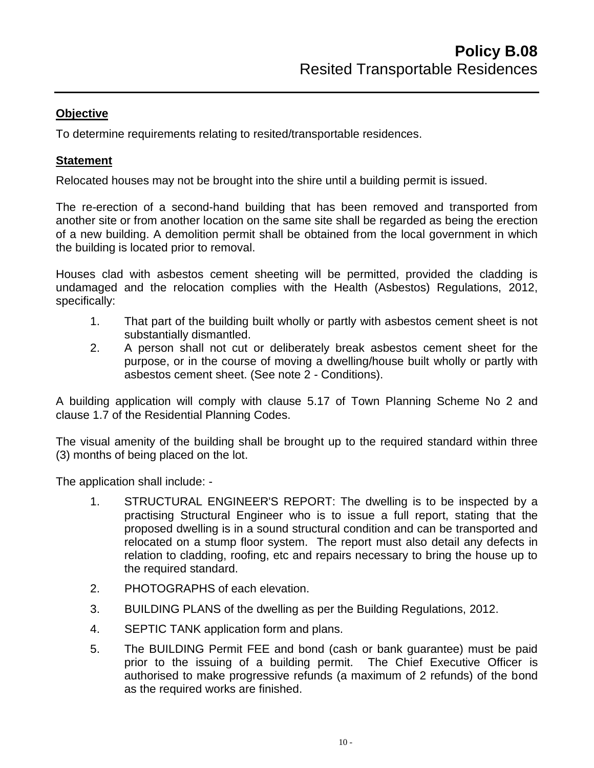To determine requirements relating to resited/transportable residences.

## **Statement**

Relocated houses may not be brought into the shire until a building permit is issued.

The re-erection of a second-hand building that has been removed and transported from another site or from another location on the same site shall be regarded as being the erection of a new building. A demolition permit shall be obtained from the local government in which the building is located prior to removal.

Houses clad with asbestos cement sheeting will be permitted, provided the cladding is undamaged and the relocation complies with the Health (Asbestos) Regulations, 2012, specifically:

- 1. That part of the building built wholly or partly with asbestos cement sheet is not substantially dismantled.
- 2. A person shall not cut or deliberately break asbestos cement sheet for the purpose, or in the course of moving a dwelling/house built wholly or partly with asbestos cement sheet. (See note 2 - Conditions).

A building application will comply with clause 5.17 of Town Planning Scheme No 2 and clause 1.7 of the Residential Planning Codes.

The visual amenity of the building shall be brought up to the required standard within three (3) months of being placed on the lot.

The application shall include: -

- 1. STRUCTURAL ENGINEER'S REPORT: The dwelling is to be inspected by a practising Structural Engineer who is to issue a full report, stating that the proposed dwelling is in a sound structural condition and can be transported and relocated on a stump floor system. The report must also detail any defects in relation to cladding, roofing, etc and repairs necessary to bring the house up to the required standard.
- 2. PHOTOGRAPHS of each elevation.
- 3. BUILDING PLANS of the dwelling as per the Building Regulations, 2012.
- 4. SEPTIC TANK application form and plans.
- 5. The BUILDING Permit FEE and bond (cash or bank guarantee) must be paid prior to the issuing of a building permit. The Chief Executive Officer is authorised to make progressive refunds (a maximum of 2 refunds) of the bond as the required works are finished.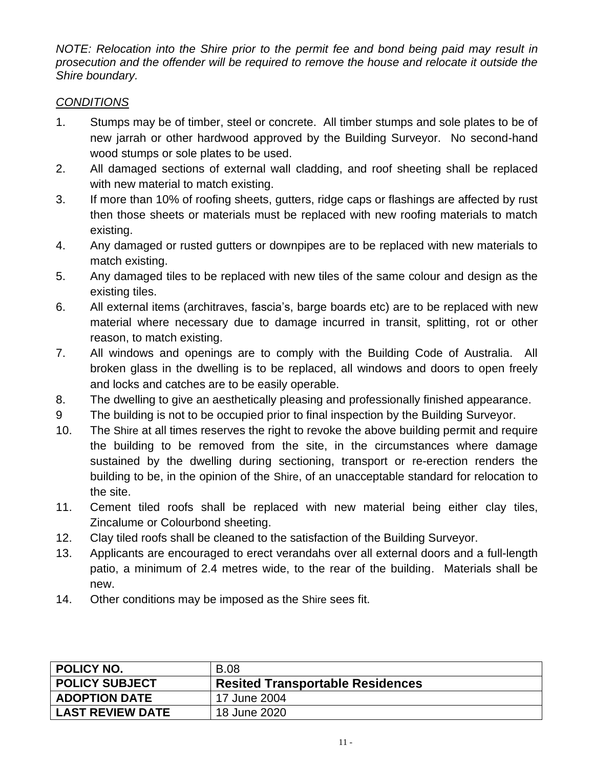*NOTE: Relocation into the Shire prior to the permit fee and bond being paid may result in prosecution and the offender will be required to remove the house and relocate it outside the Shire boundary.*

# *CONDITIONS*

- 1. Stumps may be of timber, steel or concrete. All timber stumps and sole plates to be of new jarrah or other hardwood approved by the Building Surveyor. No second-hand wood stumps or sole plates to be used.
- 2. All damaged sections of external wall cladding, and roof sheeting shall be replaced with new material to match existing.
- 3. If more than 10% of roofing sheets, gutters, ridge caps or flashings are affected by rust then those sheets or materials must be replaced with new roofing materials to match existing.
- 4. Any damaged or rusted gutters or downpipes are to be replaced with new materials to match existing.
- 5. Any damaged tiles to be replaced with new tiles of the same colour and design as the existing tiles.
- 6. All external items (architraves, fascia's, barge boards etc) are to be replaced with new material where necessary due to damage incurred in transit, splitting, rot or other reason, to match existing.
- 7. All windows and openings are to comply with the Building Code of Australia. All broken glass in the dwelling is to be replaced, all windows and doors to open freely and locks and catches are to be easily operable.
- 8. The dwelling to give an aesthetically pleasing and professionally finished appearance.
- 9 The building is not to be occupied prior to final inspection by the Building Surveyor.
- 10. The Shire at all times reserves the right to revoke the above building permit and require the building to be removed from the site, in the circumstances where damage sustained by the dwelling during sectioning, transport or re-erection renders the building to be, in the opinion of the Shire, of an unacceptable standard for relocation to the site.
- 11. Cement tiled roofs shall be replaced with new material being either clay tiles, Zincalume or Colourbond sheeting.
- 12. Clay tiled roofs shall be cleaned to the satisfaction of the Building Surveyor.
- 13. Applicants are encouraged to erect verandahs over all external doors and a full-length patio, a minimum of 2.4 metres wide, to the rear of the building. Materials shall be new.
- 14. Other conditions may be imposed as the Shire sees fit.

<span id="page-10-0"></span>

| <b>POLICY NO.</b>       | <b>B.08</b>                      |
|-------------------------|----------------------------------|
| <b>POLICY SUBJECT</b>   | Resited Transportable Residences |
| <b>ADOPTION DATE</b>    | 17 June 2004                     |
| <b>LAST REVIEW DATE</b> | 18 June 2020                     |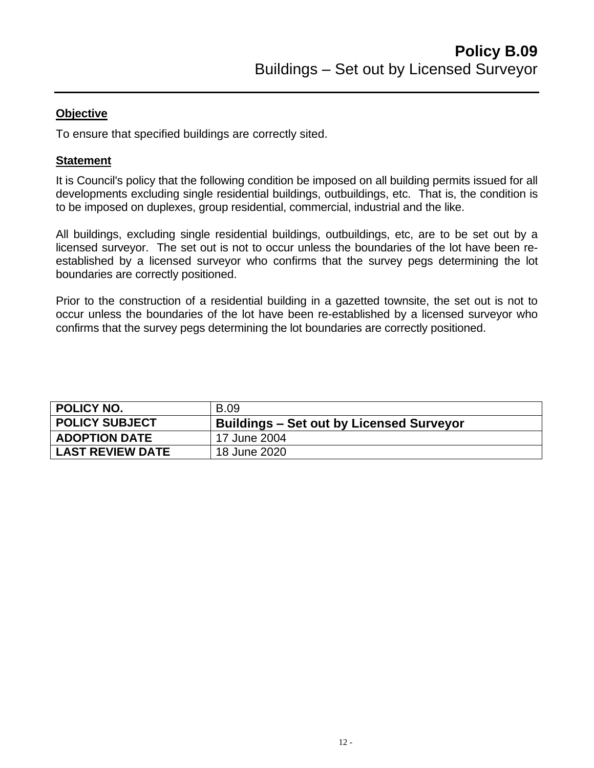To ensure that specified buildings are correctly sited.

## **Statement**

It is Council's policy that the following condition be imposed on all building permits issued for all developments excluding single residential buildings, outbuildings, etc. That is, the condition is to be imposed on duplexes, group residential, commercial, industrial and the like.

All buildings, excluding single residential buildings, outbuildings, etc, are to be set out by a licensed surveyor. The set out is not to occur unless the boundaries of the lot have been reestablished by a licensed surveyor who confirms that the survey pegs determining the lot boundaries are correctly positioned.

Prior to the construction of a residential building in a gazetted townsite, the set out is not to occur unless the boundaries of the lot have been re-established by a licensed surveyor who confirms that the survey pegs determining the lot boundaries are correctly positioned.

<span id="page-11-0"></span>

| <b>POLICY NO.</b>       | <b>B.09</b>                              |
|-------------------------|------------------------------------------|
| <b>POLICY SUBJECT</b>   | Buildings – Set out by Licensed Surveyor |
| <b>ADOPTION DATE</b>    | 17 June 2004                             |
| <b>LAST REVIEW DATE</b> | 18 June 2020                             |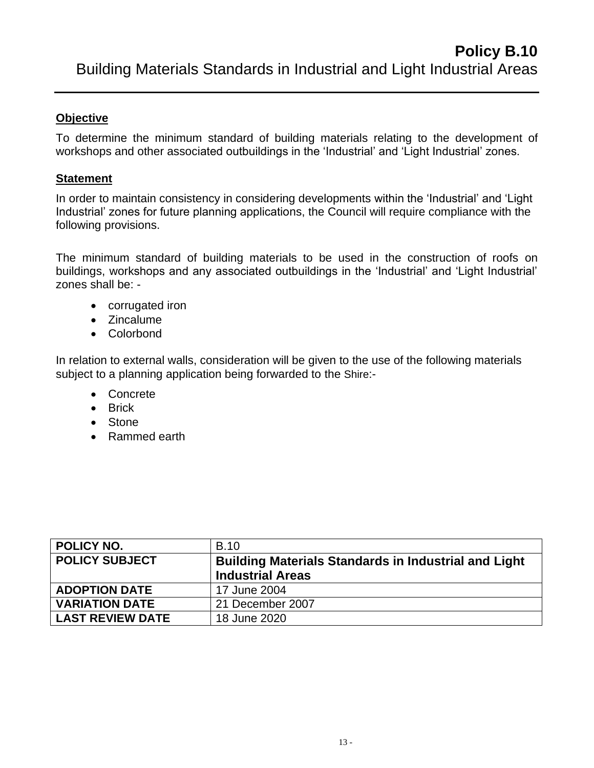To determine the minimum standard of building materials relating to the development of workshops and other associated outbuildings in the 'Industrial' and 'Light Industrial' zones.

# **Statement**

In order to maintain consistency in considering developments within the 'Industrial' and 'Light Industrial' zones for future planning applications, the Council will require compliance with the following provisions.

The minimum standard of building materials to be used in the construction of roofs on buildings, workshops and any associated outbuildings in the 'Industrial' and 'Light Industrial' zones shall be: -

- corrugated iron
- Zincalume
- Colorbond

In relation to external walls, consideration will be given to the use of the following materials subject to a planning application being forwarded to the Shire:-

- Concrete
- Brick
- Stone
- Rammed earth

<span id="page-12-0"></span>

| POLICY NO.              | <b>B.10</b>                                                 |
|-------------------------|-------------------------------------------------------------|
| <b>POLICY SUBJECT</b>   | <b>Building Materials Standards in Industrial and Light</b> |
|                         | <b>Industrial Areas</b>                                     |
| <b>ADOPTION DATE</b>    | 17 June 2004                                                |
| <b>VARIATION DATE</b>   | 21 December 2007                                            |
| <b>LAST REVIEW DATE</b> | 18 June 2020                                                |